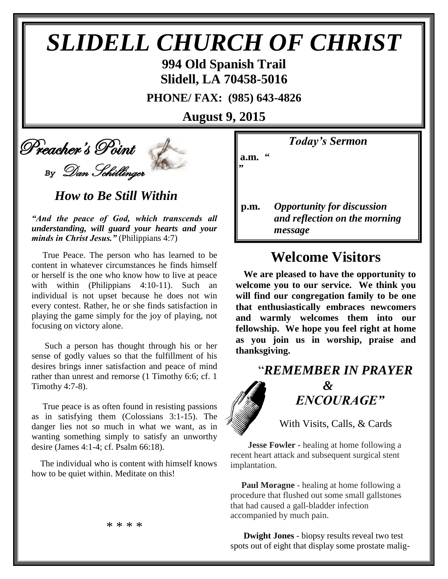# *SLIDELL CHURCH OF CHRIST*

**994 Old Spanish Trail Slidell, LA 70458-5016**

**PHONE/ FAX: (985) 643-4826**

**August 9, 2015**

# Preacher's Point

*By* Dan Schillinger

 *How to Be Still Within*

*"And the peace of God, which transcends all understanding, will guard your hearts and your minds in Christ Jesus."* (Philippians 4:7)

 True Peace. The person who has learned to be content in whatever circumstances he finds himself or herself is the one who know how to live at peace with within (Philippians 4:10-11). Such an individual is not upset because he does not win every contest. Rather, he or she finds satisfaction in playing the game simply for the joy of playing, not focusing on victory alone.

 Such a person has thought through his or her sense of godly values so that the fulfillment of his desires brings inner satisfaction and peace of mind rather than unrest and remorse (1 Timothy 6:6; cf. 1 Timothy 4:7-8).

 True peace is as often found in resisting passions as in satisfying them (Colossians 3:1-15). The danger lies not so much in what we want, as in wanting something simply to satisfy an unworthy desire (James 4:1-4; cf. Psalm 66:18).

 The individual who is content with himself knows how to be quiet within. Meditate on this!

*Today's Sermon*

**a.m.** *"*

*"*

**p.m.** *Opportunity for discussion*  *and reflection on the morning message*

### **Welcome Visitors**

**We are pleased to have the opportunity to welcome you to our service. We think you will find our congregation family to be one that enthusiastically embraces newcomers and warmly welcomes them into our fellowship. We hope you feel right at home as you join us in worship, praise and thanksgiving.**

## "*REMEMBER IN PRAYER &* " *ENCOURAGE"*

With Visits, Calls, & Cards

 **Jesse Fowler -** healing at home following a recent heart attack and subsequent surgical stent implantation.

 **Paul Moragne** - healing at home following a procedure that flushed out some small gallstones that had caused a gall-bladder infection accompanied by much pain.

 **Dwight Jones** - biopsy results reveal two test spots out of eight that display some prostate malig-

\* \* \* \*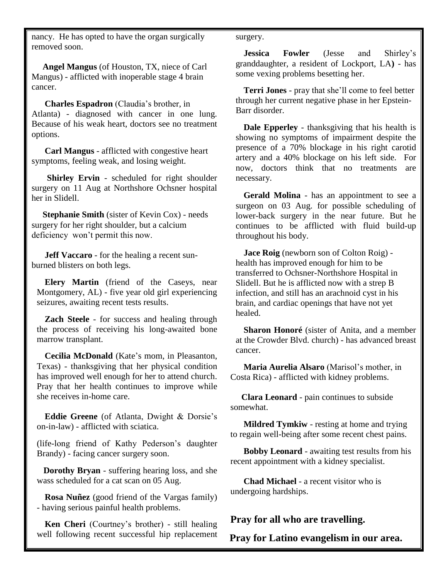nancy. He has opted to have the organ surgically removed soon.

 **Angel Mangus** (of Houston, TX, niece of Carl Mangus) - afflicted with inoperable stage 4 brain cancer.

**Charles Espadron** (Claudia's brother, in Atlanta) - diagnosed with cancer in one lung. Because of his weak heart, doctors see no treatment options.

 **Carl Mangus** - afflicted with congestive heart symptoms, feeling weak, and losing weight.

 **Shirley Ervin** - scheduled for right shoulder surgery on 11 Aug at Northshore Ochsner hospital her in Slidell.

 **Stephanie Smith** (sister of Kevin Cox) - needs surgery for her right shoulder, but a calcium deficiency won't permit this now.

 **Jeff Vaccaro** - for the healing a recent sunburned blisters on both legs.

**Elery Martin** (friend of the Caseys, near Montgomery, AL) - five year old girl experiencing seizures, awaiting recent tests results.

**Zach Steele** - for success and healing through the process of receiving his long-awaited bone marrow transplant.

**Cecilia McDonald** (Kate's mom, in Pleasanton, Texas) - thanksgiving that her physical condition has improved well enough for her to attend church. Pray that her health continues to improve while she receives in-home care.

**Eddie Greene** (of Atlanta, Dwight & Dorsie's on-in-law) - afflicted with sciatica.

(life-long friend of Kathy Pederson's daughter Brandy) - facing cancer surgery soon.

 **Dorothy Bryan** - suffering hearing loss, and she wass scheduled for a cat scan on 05 Aug.

**Rosa Nuñez** (good friend of the Vargas family) - having serious painful health problems.

**Ken Cheri** (Courtney's brother) - still healing well following recent successful hip replacement surgery.

**Jessica Fowler** (Jesse and Shirley's granddaughter, a resident of Lockport, LA**)** - has some vexing problems besetting her.

**Terri Jones** - pray that she'll come to feel better through her current negative phase in her Epstein-Barr disorder.

**Dale Epperley** - thanksgiving that his health is showing no symptoms of impairment despite the presence of a 70% blockage in his right carotid artery and a 40% blockage on his left side. For now, doctors think that no treatments are necessary.

**Gerald Molina** - has an appointment to see a surgeon on 03 Aug. for possible scheduling of lower-back surgery in the near future. But he continues to be afflicted with fluid build-up throughout his body.

**Jace Roig** (newborn son of Colton Roig) health has improved enough for him to be transferred to Ochsner-Northshore Hospital in Slidell. But he is afflicted now with a strep B infection, and still has an arachnoid cyst in his brain, and cardiac openings that have not yet healed.

**Sharon Honoré** (sister of Anita, and a member at the Crowder Blvd. church) - has advanced breast cancer.

 **Maria Aurelia Alsaro** (Marisol's mother, in Costa Rica) - afflicted with kidney problems.

 **Clara Leonard** - pain continues to subside somewhat.

 **Mildred Tymkiw** - resting at home and trying to regain well-being after some recent chest pains.

 **Bobby Leonard** - awaiting test results from his recent appointment with a kidney specialist.

 **Chad Michael** - a recent visitor who is undergoing hardships.

#### **Pray for all who are travelling.**

**Pray for Latino evangelism in our area.**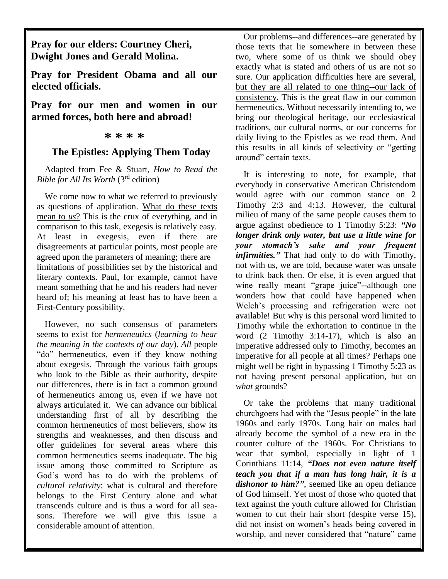**Pray for our elders: Courtney Cheri, Dwight Jones and Gerald Molina.**

**Pray for President Obama and all our elected officials.**

**Pray for our men and women in our armed forces, both here and abroad!**

#### **\* \* \* \***

#### **The Epistles: Applying Them Today**

Adapted from Fee & Stuart, *How to Read the Bible for All Its Worth* (3rd edition)

We come now to what we referred to previously as questions of application. What do these texts mean to *us*? This is the crux of everything, and in comparison to this task, exegesis is relatively easy. At least in exegesis, even if there are disagreements at particular points, most people are agreed upon the parameters of meaning; there are limitations of possibilities set by the historical and literary contexts. Paul, for example, cannot have meant something that he and his readers had never heard of; his meaning at least has to have been a First-Century possibility.

However, no such consensus of parameters seems to exist for *hermeneutics* (*learning to hear the meaning in the contexts of our day*). *All* people "do" hermeneutics, even if they know nothing about exegesis. Through the various faith groups who look to the Bible as their authority, despite our differences, there is in fact a common ground of hermeneutics among us, even if we have not always articulated it. We can advance our biblical understanding first of all by describing the common hermeneutics of most believers, show its strengths and weaknesses, and then discuss and offer guidelines for several areas where this common hermeneutics seems inadequate. The big issue among those committed to Scripture as God's word has to do with the problems of *cultural relativity*: what is cultural and therefore belongs to the First Century alone and what transcends culture and is thus a word for all seasons. Therefore we will give this issue a considerable amount of attention.

Our problems--and differences--are generated by those texts that lie somewhere in between these two, where some of us think we should obey exactly what is stated and others of us are not so sure. Our application difficulties here are several, but they are all related to one thing--our lack of consistency. This is the great flaw in our common hermeneutics. Without necessarily intending to, we bring our theological heritage, our ecclesiastical traditions, our cultural norms, or our concerns for daily living to the Epistles as we read them. And this results in all kinds of selectivity or "getting around" certain texts.

It is interesting to note, for example, that everybody in conservative American Christendom would agree with our common stance on 2 Timothy 2:3 and 4:13. However, the cultural milieu of many of the same people causes them to argue against obedience to 1 Timothy 5:23: *"No longer drink only water, but use a little wine for your stomach's sake and your frequent infirmities."* That had only to do with Timothy, not with us, we are told, because water was unsafe to drink back then. Or else, it is even argued that wine really meant "grape juice"--although one wonders how that could have happened when Welch's processing and refrigeration were not available! But why is this personal word limited to Timothy while the exhortation to continue in the word (2 Timothy 3:14-17), which is also an imperative addressed only to Timothy, becomes an imperative for all people at all times? Perhaps one might well be right in bypassing 1 Timothy 5:23 as not having present personal application, but on *what* grounds?

Or take the problems that many traditional churchgoers had with the "Jesus people" in the late 1960s and early 1970s. Long hair on males had already become the symbol of a new era in the counter culture of the 1960s. For Christians to wear that symbol, especially in light of 1 Corinthians 11:14, *"Does not even nature itself teach you that if a man has long hair, it is a dishonor to him?"*, seemed like an open defiance of God himself. Yet most of those who quoted that text against the youth culture allowed for Christian women to cut their hair short (despite verse 15), did not insist on women's heads being covered in worship, and never considered that "nature" came